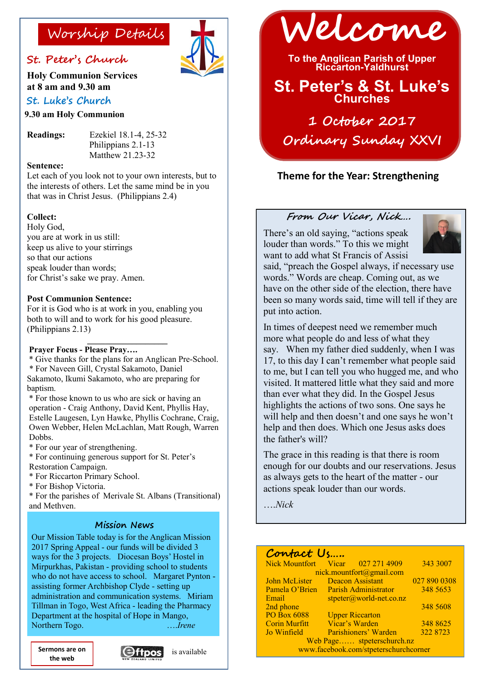### **St. Peter's Church**

**Holy Communion Services at 8 am and 9.30 am** 

### **St. Luke's Church**

**9.30 am Holy Communion**

**Readings:** Ezekiel 18.1-4, 25-32 Philippians 2.1-13 Matthew 21.23-32

#### **Sentence:**

Let each of you look not to your own interests, but to the interests of others. Let the same mind be in you that was in Christ Jesus. (Philippians 2.4)

#### **Collect:**

Holy God, you are at work in us still: keep us alive to your stirrings so that our actions speak louder than words; for Christ's sake we pray. Amen.

#### **Post Communion Sentence:**

For it is God who is at work in you, enabling you both to will and to work for his good pleasure. (Philippians 2.13)

#### **\_\_\_\_\_\_\_\_\_\_\_\_\_\_\_\_\_\_ Prayer Focus - Please Pray….**

\* Give thanks for the plans for an Anglican Pre-School. \* For Naveen Gill, Crystal Sakamoto, Daniel Sakamoto, Ikumi Sakamoto, who are preparing for baptism.

\* For those known to us who are sick or having an operation - Craig Anthony, David Kent, Phyllis Hay, Estelle Laugesen, Lyn Hawke, Phyllis Cochrane, Craig, Owen Webber, Helen McLachlan, Matt Rough, Warren Dobbs.

\* For our year of strengthening.

\* For continuing generous support for St. Peter's Restoration Campaign.

\* For Riccarton Primary School.

\* For Bishop Victoria.

\* For the parishes of Merivale St. Albans (Transitional) and Methven.

#### **Mission News**

Our Mission Table today is for the Anglican Mission 2017 Spring Appeal - our funds will be divided 3 ways for the 3 projects. Diocesan Boys' Hostel in Mirpurkhas, Pakistan - providing school to students who do not have access to school. Margaret Pynton assisting former Archbishop Clyde - setting up administration and communication systems. Miriam Tillman in Togo, West Africa - leading the Pharmacy Department at the hospital of Hope in Mango, Northern Togo. ….*Irene*

**the web**





**To the Anglican Parish of Upper Riccarton-Yaldhurst**

## **St. Peter's & St. Luke's Churches**

**1 October 2017 Ordinary Sunday XXVI** 

### **Theme for the Year: Strengthening**

#### **From Our Vicar, Nick….**

There's an old saying, "actions speak louder than words." To this we might want to add what St Francis of Assisi



said, "preach the Gospel always, if necessary use words." Words are cheap. Coming out, as we have on the other side of the election, there have been so many words said, time will tell if they are put into action.

In times of deepest need we remember much more what people do and less of what they say. When my father died suddenly, when I was 17, to this day I can't remember what people said to me, but I can tell you who hugged me, and who visited. It mattered little what they said and more than ever what they did. In the Gospel Jesus highlights the actions of two sons. One says he will help and then doesn't and one says he won't help and then does. Which one Jesus asks does the father's will?

The grace in this reading is that there is room enough for our doubts and our reservations. Jesus as always gets to the heart of the matter - our actions speak louder than our words.

….*Nick*

### **Contact Us…..**

| Nick Mountfort Vicar 027 271 4909     |                             |                        | 343 3007     |
|---------------------------------------|-----------------------------|------------------------|--------------|
| nick.mountfort@gmail.com              |                             |                        |              |
| John McLister                         | <b>Deacon Assistant</b>     |                        | 027 890 0308 |
| Pamela O'Brien                        | <b>Parish Administrator</b> |                        | 348 5653     |
| Email                                 | $stpeter@world-net.co.nz$   |                        |              |
| 2nd phone                             |                             |                        | 348 5608     |
| <b>PO Box 6088</b>                    |                             | <b>Upper Riccarton</b> |              |
| <b>Corin Murfitt</b>                  |                             | Vicar's Warden         | 348 8625     |
| Jo Winfield                           |                             | Parishioners' Warden   | 322 8723     |
| Web Page stpeterschurch.nz            |                             |                        |              |
| www.facebook.com/stpeterschurchcorner |                             |                        |              |